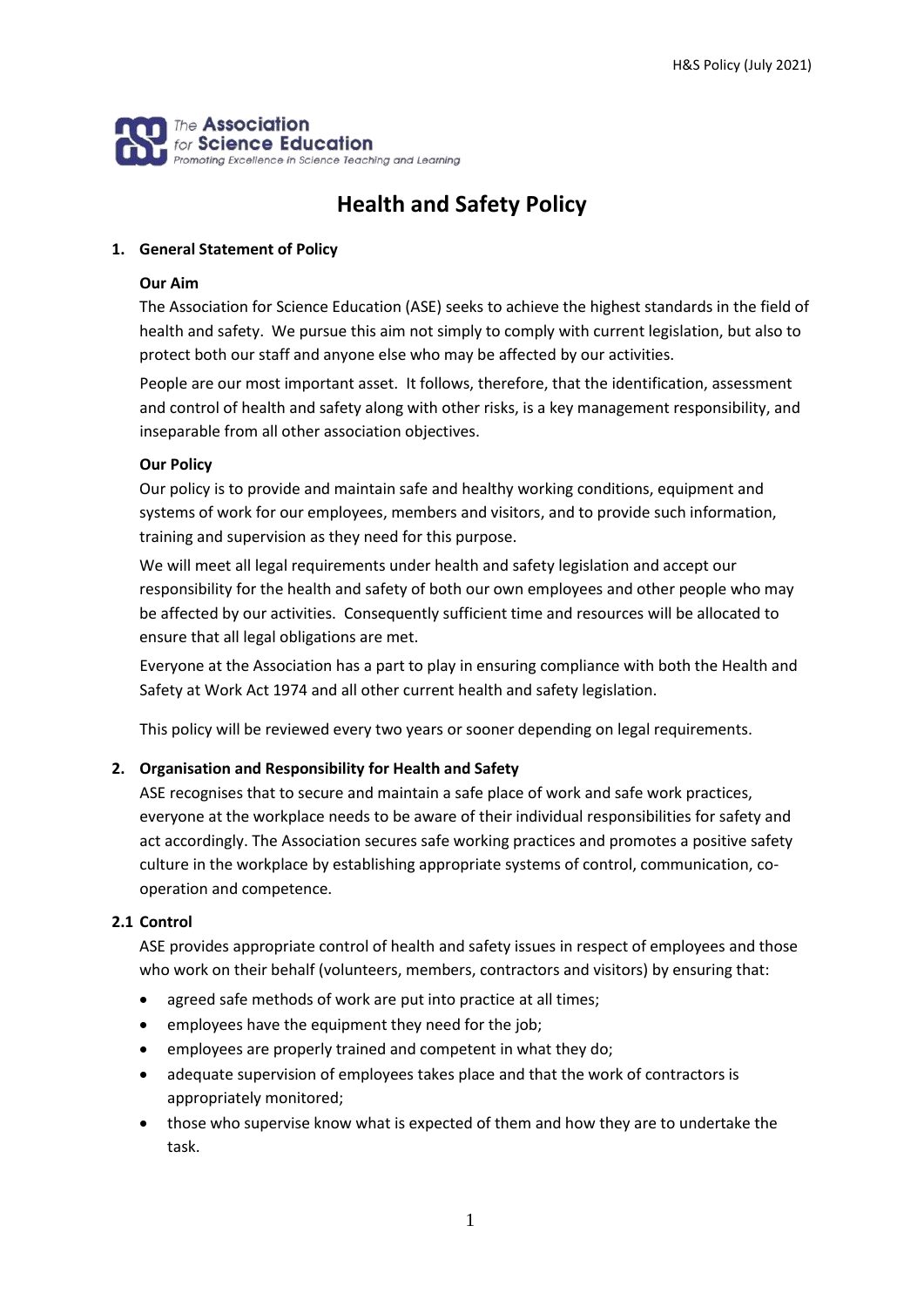

# **Health and Safety Policy**

# **1. General Statement of Policy**

# **Our Aim**

The Association for Science Education (ASE) seeks to achieve the highest standards in the field of health and safety. We pursue this aim not simply to comply with current legislation, but also to protect both our staff and anyone else who may be affected by our activities.

People are our most important asset. It follows, therefore, that the identification, assessment and control of health and safety along with other risks, is a key management responsibility, and inseparable from all other association objectives.

# **Our Policy**

Our policy is to provide and maintain safe and healthy working conditions, equipment and systems of work for our employees, members and visitors, and to provide such information, training and supervision as they need for this purpose.

We will meet all legal requirements under health and safety legislation and accept our responsibility for the health and safety of both our own employees and other people who may be affected by our activities. Consequently sufficient time and resources will be allocated to ensure that all legal obligations are met.

Everyone at the Association has a part to play in ensuring compliance with both the Health and Safety at Work Act 1974 and all other current health and safety legislation.

This policy will be reviewed every two years or sooner depending on legal requirements.

# **2. Organisation and Responsibility for Health and Safety**

ASE recognises that to secure and maintain a safe place of work and safe work practices, everyone at the workplace needs to be aware of their individual responsibilities for safety and act accordingly. The Association secures safe working practices and promotes a positive safety culture in the workplace by establishing appropriate systems of control, communication, cooperation and competence.

# **2.1 Control**

ASE provides appropriate control of health and safety issues in respect of employees and those who work on their behalf (volunteers, members, contractors and visitors) by ensuring that:

- agreed safe methods of work are put into practice at all times;
- employees have the equipment they need for the job;
- employees are properly trained and competent in what they do;
- adequate supervision of employees takes place and that the work of contractors is appropriately monitored;
- those who supervise know what is expected of them and how they are to undertake the task.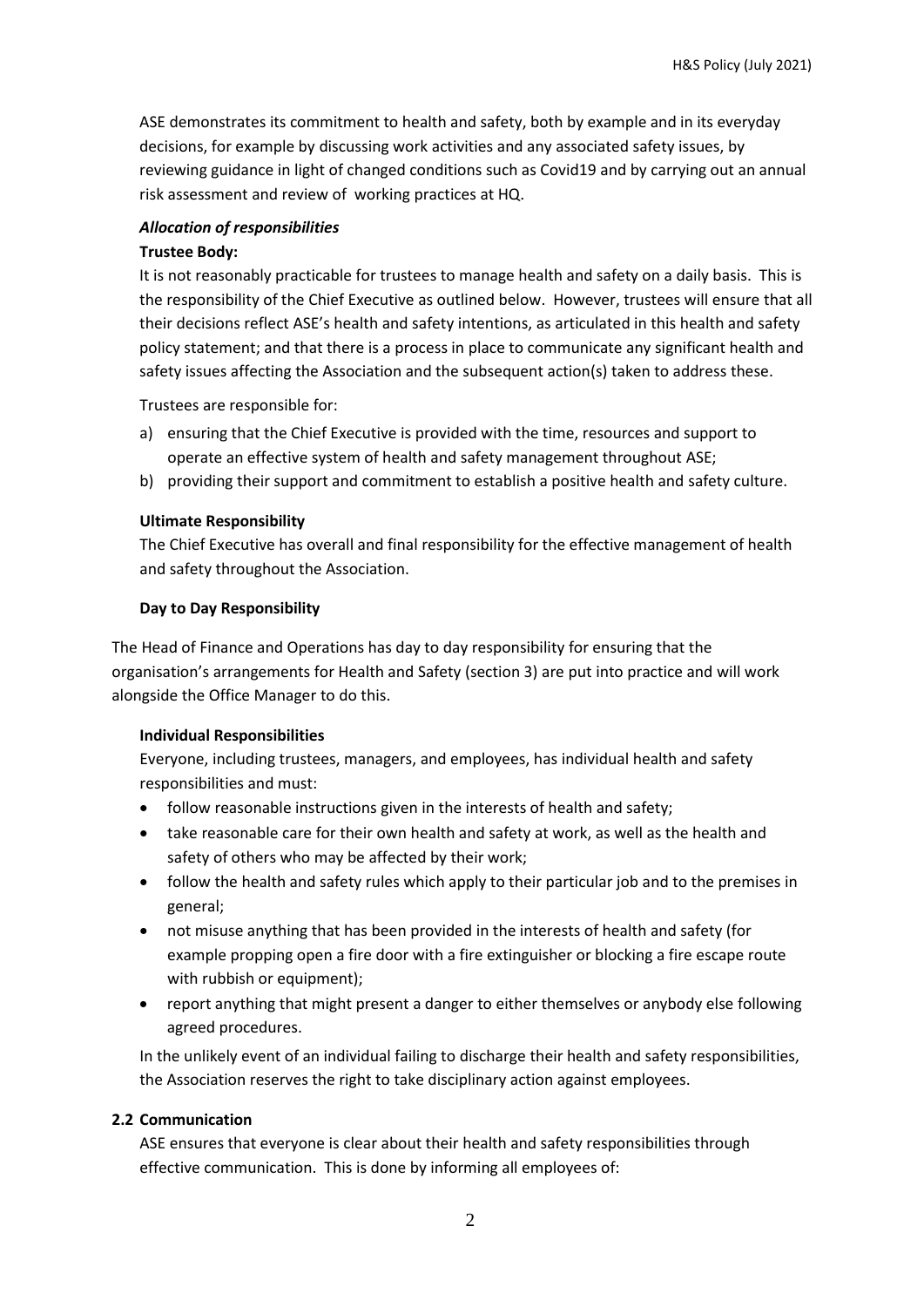ASE demonstrates its commitment to health and safety, both by example and in its everyday decisions, for example by discussing work activities and any associated safety issues, by reviewing guidance in light of changed conditions such as Covid19 and by carrying out an annual risk assessment and review of working practices at HQ.

# *Allocation of responsibilities*

#### **Trustee Body:**

It is not reasonably practicable for trustees to manage health and safety on a daily basis. This is the responsibility of the Chief Executive as outlined below. However, trustees will ensure that all their decisions reflect ASE's health and safety intentions, as articulated in this health and safety policy statement; and that there is a process in place to communicate any significant health and safety issues affecting the Association and the subsequent action(s) taken to address these.

Trustees are responsible for:

- a) ensuring that the Chief Executive is provided with the time, resources and support to operate an effective system of health and safety management throughout ASE;
- b) providing their support and commitment to establish a positive health and safety culture.

#### **Ultimate Responsibility**

The Chief Executive has overall and final responsibility for the effective management of health and safety throughout the Association.

## **Day to Day Responsibility**

The Head of Finance and Operations has day to day responsibility for ensuring that the organisation's arrangements for Health and Safety (section 3) are put into practice and will work alongside the Office Manager to do this.

#### **Individual Responsibilities**

Everyone, including trustees, managers, and employees, has individual health and safety responsibilities and must:

- follow reasonable instructions given in the interests of health and safety;
- take reasonable care for their own health and safety at work, as well as the health and safety of others who may be affected by their work;
- follow the health and safety rules which apply to their particular job and to the premises in general;
- not misuse anything that has been provided in the interests of health and safety (for example propping open a fire door with a fire extinguisher or blocking a fire escape route with rubbish or equipment);
- report anything that might present a danger to either themselves or anybody else following agreed procedures.

In the unlikely event of an individual failing to discharge their health and safety responsibilities, the Association reserves the right to take disciplinary action against employees.

# **2.2 Communication**

ASE ensures that everyone is clear about their health and safety responsibilities through effective communication. This is done by informing all employees of: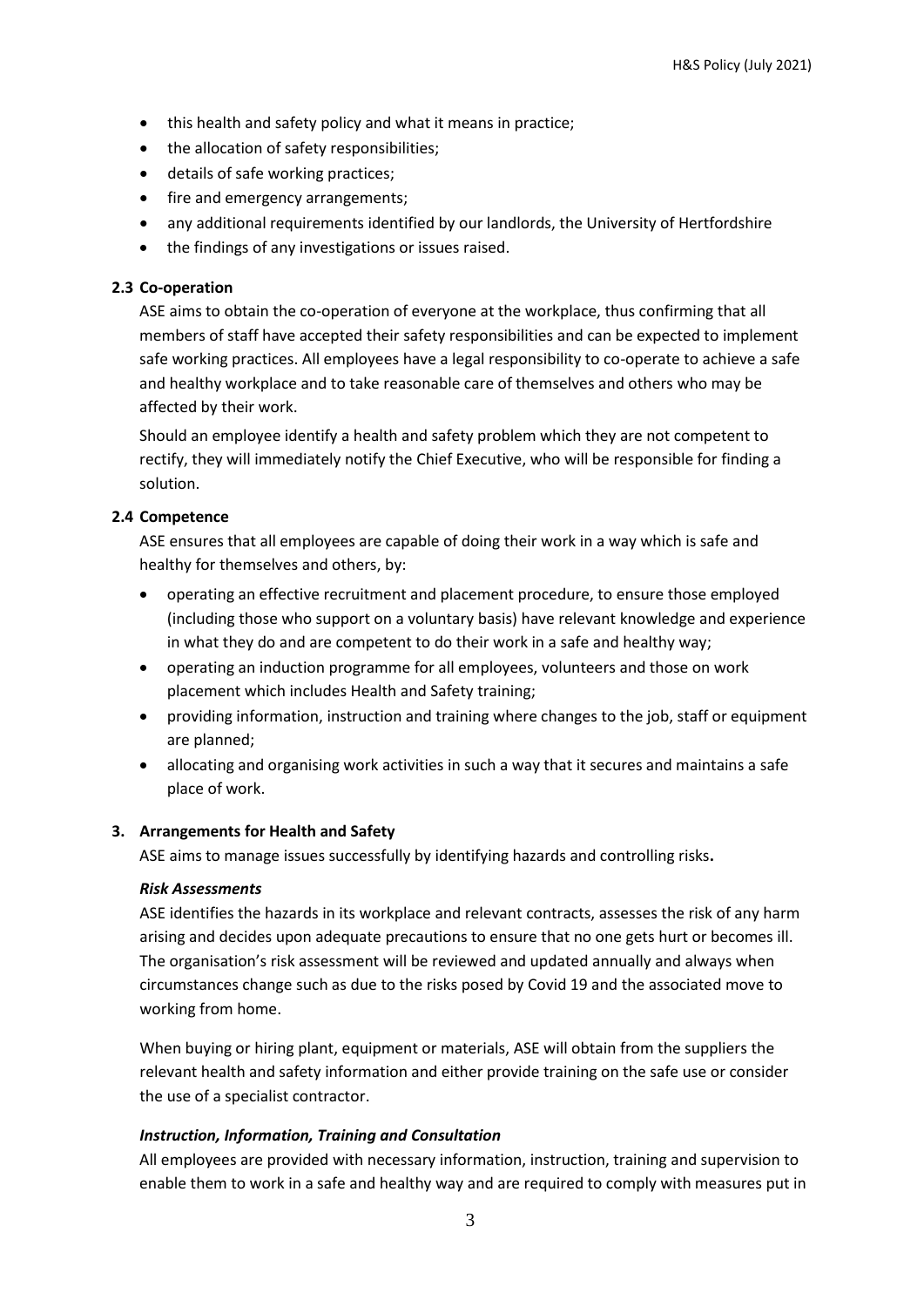- this health and safety policy and what it means in practice;
- the allocation of safety responsibilities;
- details of safe working practices;
- fire and emergency arrangements;
- any additional requirements identified by our landlords, the University of Hertfordshire
- the findings of any investigations or issues raised.

# **2.3 Co-operation**

ASE aims to obtain the co-operation of everyone at the workplace, thus confirming that all members of staff have accepted their safety responsibilities and can be expected to implement safe working practices. All employees have a legal responsibility to co-operate to achieve a safe and healthy workplace and to take reasonable care of themselves and others who may be affected by their work.

Should an employee identify a health and safety problem which they are not competent to rectify, they will immediately notify the Chief Executive, who will be responsible for finding a solution.

# **2.4 Competence**

ASE ensures that all employees are capable of doing their work in a way which is safe and healthy for themselves and others, by:

- operating an effective recruitment and placement procedure, to ensure those employed (including those who support on a voluntary basis) have relevant knowledge and experience in what they do and are competent to do their work in a safe and healthy way;
- operating an induction programme for all employees, volunteers and those on work placement which includes Health and Safety training;
- providing information, instruction and training where changes to the job, staff or equipment are planned;
- allocating and organising work activities in such a way that it secures and maintains a safe place of work.

# **3. Arrangements for Health and Safety**

ASE aims to manage issues successfully by identifying hazards and controlling risks**.**

# *Risk Assessments*

ASE identifies the hazards in its workplace and relevant contracts, assesses the risk of any harm arising and decides upon adequate precautions to ensure that no one gets hurt or becomes ill. The organisation's risk assessment will be reviewed and updated annually and always when circumstances change such as due to the risks posed by Covid 19 and the associated move to working from home.

When buying or hiring plant, equipment or materials, ASE will obtain from the suppliers the relevant health and safety information and either provide training on the safe use or consider the use of a specialist contractor.

# *Instruction, Information, Training and Consultation*

All employees are provided with necessary information, instruction, training and supervision to enable them to work in a safe and healthy way and are required to comply with measures put in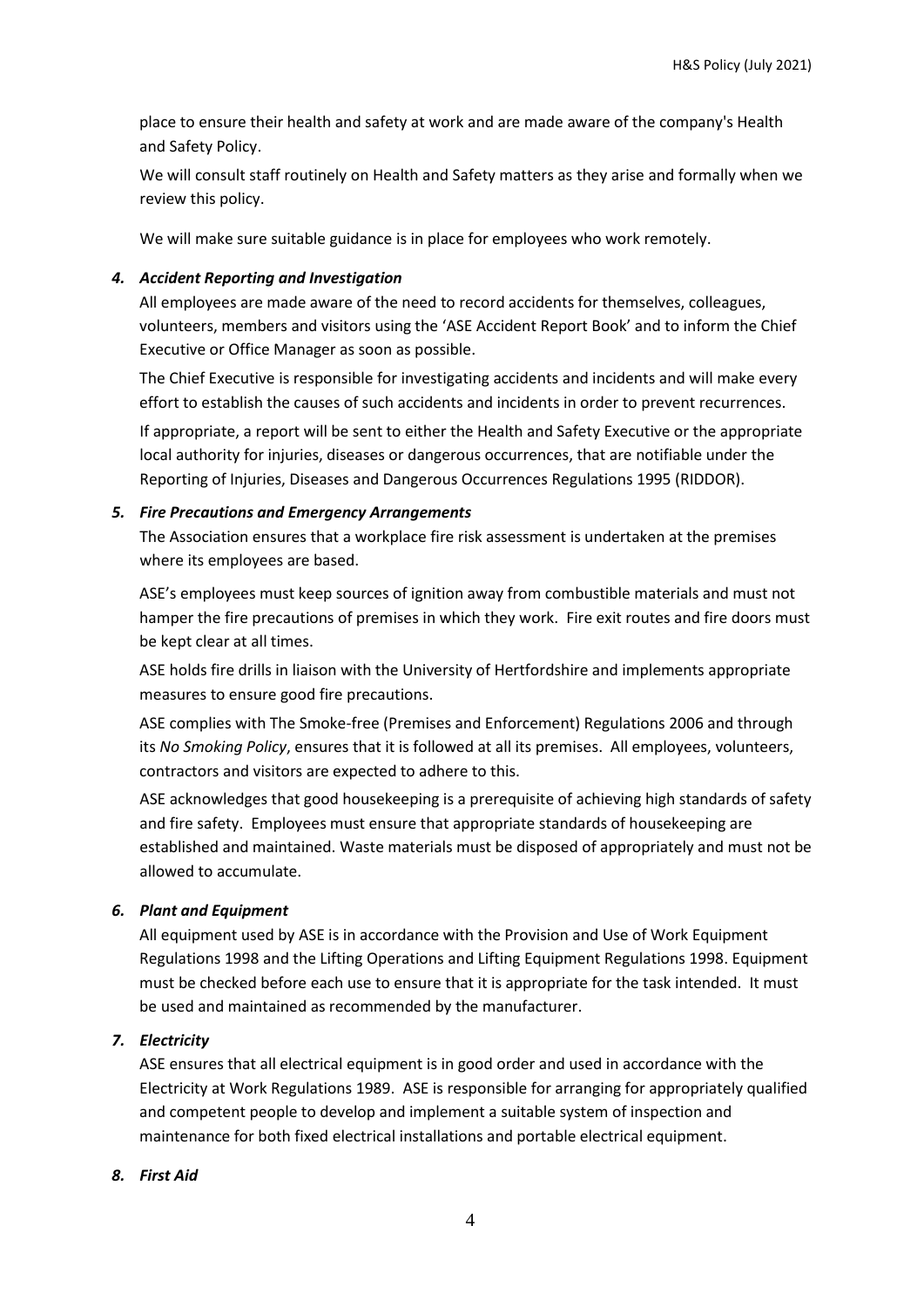place to ensure their health and safety at work and are made aware of the company's Health and Safety Policy.

We will consult staff routinely on Health and Safety matters as they arise and formally when we review this policy.

We will make sure suitable guidance is in place for employees who work remotely.

## *4. Accident Reporting and Investigation*

All employees are made aware of the need to record accidents for themselves, colleagues, volunteers, members and visitors using the 'ASE Accident Report Book' and to inform the Chief Executive or Office Manager as soon as possible.

The Chief Executive is responsible for investigating accidents and incidents and will make every effort to establish the causes of such accidents and incidents in order to prevent recurrences.

If appropriate, a report will be sent to either the Health and Safety Executive or the appropriate local authority for injuries, diseases or dangerous occurrences, that are notifiable under the Reporting of Injuries, Diseases and Dangerous Occurrences Regulations 1995 (RIDDOR).

## *5. Fire Precautions and Emergency Arrangements*

The Association ensures that a workplace fire risk assessment is undertaken at the premises where its employees are based.

ASE's employees must keep sources of ignition away from combustible materials and must not hamper the fire precautions of premises in which they work. Fire exit routes and fire doors must be kept clear at all times.

ASE holds fire drills in liaison with the University of Hertfordshire and implements appropriate measures to ensure good fire precautions.

ASE complies with The Smoke-free (Premises and Enforcement) Regulations 2006 and through its *No Smoking Policy*, ensures that it is followed at all its premises. All employees, volunteers, contractors and visitors are expected to adhere to this.

ASE acknowledges that good housekeeping is a prerequisite of achieving high standards of safety and fire safety. Employees must ensure that appropriate standards of housekeeping are established and maintained. Waste materials must be disposed of appropriately and must not be allowed to accumulate.

# *6. Plant and Equipment*

All equipment used by ASE is in accordance with the Provision and Use of Work Equipment Regulations 1998 and the Lifting Operations and Lifting Equipment Regulations 1998. Equipment must be checked before each use to ensure that it is appropriate for the task intended. It must be used and maintained as recommended by the manufacturer.

# *7. Electricity*

ASE ensures that all electrical equipment is in good order and used in accordance with the Electricity at Work Regulations 1989. ASE is responsible for arranging for appropriately qualified and competent people to develop and implement a suitable system of inspection and maintenance for both fixed electrical installations and portable electrical equipment.

# *8. First Aid*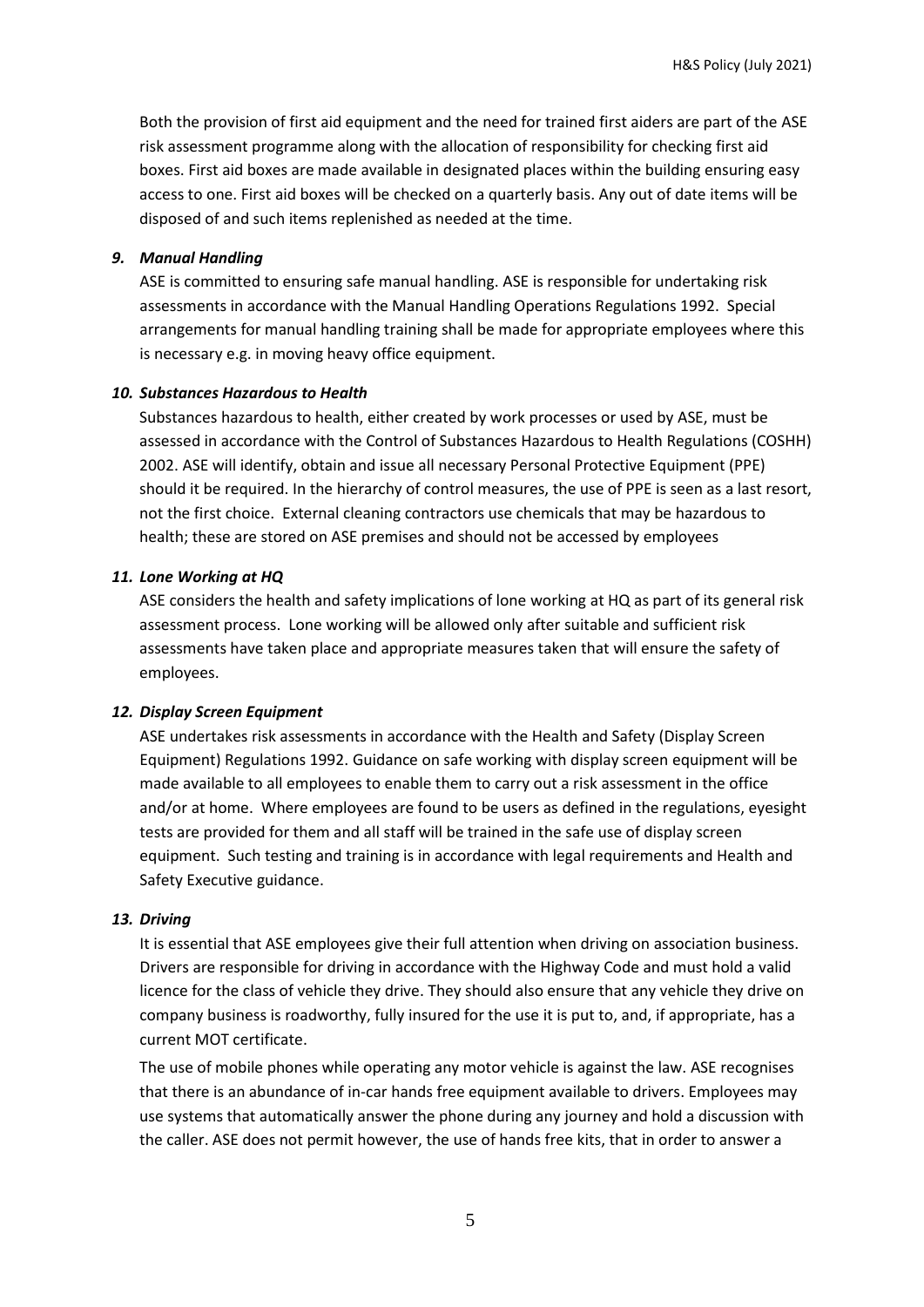Both the provision of first aid equipment and the need for trained first aiders are part of the ASE risk assessment programme along with the allocation of responsibility for checking first aid boxes. First aid boxes are made available in designated places within the building ensuring easy access to one. First aid boxes will be checked on a quarterly basis. Any out of date items will be disposed of and such items replenished as needed at the time.

#### *9. Manual Handling*

ASE is committed to ensuring safe manual handling. ASE is responsible for undertaking risk assessments in accordance with the Manual Handling Operations Regulations 1992. Special arrangements for manual handling training shall be made for appropriate employees where this is necessary e.g. in moving heavy office equipment.

## *10. Substances Hazardous to Health*

Substances hazardous to health, either created by work processes or used by ASE, must be assessed in accordance with the Control of Substances Hazardous to Health Regulations (COSHH) 2002. ASE will identify, obtain and issue all necessary Personal Protective Equipment (PPE) should it be required. In the hierarchy of control measures, the use of PPE is seen as a last resort, not the first choice. External cleaning contractors use chemicals that may be hazardous to health; these are stored on ASE premises and should not be accessed by employees

#### *11. Lone Working at HQ*

ASE considers the health and safety implications of lone working at HQ as part of its general risk assessment process. Lone working will be allowed only after suitable and sufficient risk assessments have taken place and appropriate measures taken that will ensure the safety of employees.

#### *12. Display Screen Equipment*

ASE undertakes risk assessments in accordance with the Health and Safety (Display Screen Equipment) Regulations 1992. Guidance on safe working with display screen equipment will be made available to all employees to enable them to carry out a risk assessment in the office and/or at home. Where employees are found to be users as defined in the regulations, eyesight tests are provided for them and all staff will be trained in the safe use of display screen equipment. Such testing and training is in accordance with legal requirements and Health and Safety Executive guidance.

#### *13. Driving*

It is essential that ASE employees give their full attention when driving on association business. Drivers are responsible for driving in accordance with the Highway Code and must hold a valid licence for the class of vehicle they drive. They should also ensure that any vehicle they drive on company business is roadworthy, fully insured for the use it is put to, and, if appropriate, has a current MOT certificate.

The use of mobile phones while operating any motor vehicle is against the law. ASE recognises that there is an abundance of in-car hands free equipment available to drivers. Employees may use systems that automatically answer the phone during any journey and hold a discussion with the caller. ASE does not permit however, the use of hands free kits, that in order to answer a